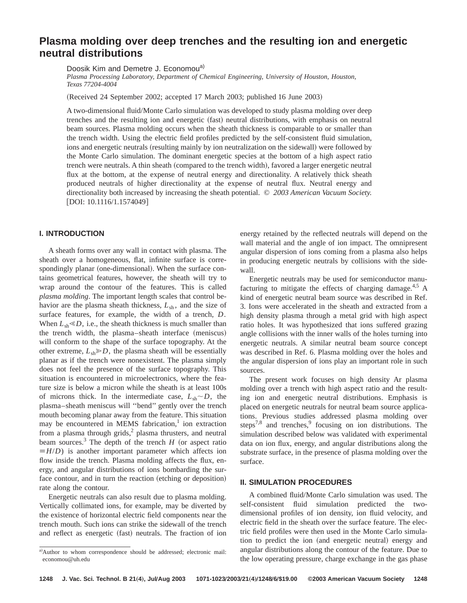# **Plasma molding over deep trenches and the resulting ion and energetic neutral distributions**

Doosik Kim and Demetre J. Economou<sup>a)</sup>

*Plasma Processing Laboratory, Department of Chemical Engineering, University of Houston, Houston, Texas 77204-4004*

(Received 24 September 2002; accepted 17 March 2003; published 16 June 2003)

A two-dimensional fluid/Monte Carlo simulation was developed to study plasma molding over deep trenches and the resulting ion and energetic (fast) neutral distributions, with emphasis on neutral beam sources. Plasma molding occurs when the sheath thickness is comparable to or smaller than the trench width. Using the electric field profiles predicted by the self-consistent fluid simulation, ions and energetic neutrals (resulting mainly by ion neutralization on the sidewall) were followed by the Monte Carlo simulation. The dominant energetic species at the bottom of a high aspect ratio trench were neutrals. A thin sheath (compared to the trench width), favored a larger energetic neutral flux at the bottom, at the expense of neutral energy and directionality. A relatively thick sheath produced neutrals of higher directionality at the expense of neutral flux. Neutral energy and directionality both increased by increasing the sheath potential. © *2003 American Vacuum Society.*  $[DOI: 10.1116/1.1574049]$ 

## **I. INTRODUCTION**

A sheath forms over any wall in contact with plasma. The sheath over a homogeneous, flat, infinite surface is correspondingly planar (one-dimensional). When the surface contains geometrical features, however, the sheath will try to wrap around the contour of the features. This is called *plasma molding*. The important length scales that control behavior are the plasma sheath thickness,  $L_{\rm sh}$ , and the size of surface features, for example, the width of a trench, *D*. When  $L_{sh} \ll D$ , i.e., the sheath thickness is much smaller than the trench width, the plasma–sheath interface (meniscus) will conform to the shape of the surface topography. At the other extreme,  $L_{sh} \ge D$ , the plasma sheath will be essentially planar as if the trench were nonexistent. The plasma simply does not feel the presence of the surface topography. This situation is encountered in microelectronics, where the feature size is below a micron while the sheath is at least 100s of microns thick. In the intermediate case,  $L_{\rm sh} \sim D$ , the plasma–sheath meniscus will ''bend'' gently over the trench mouth becoming planar away from the feature. This situation may be encountered in MEMS fabrication, $\frac{1}{1}$  ion extraction from a plasma through grids, $<sup>2</sup>$  plasma thrusters, and neutral</sup> beam sources.<sup>3</sup> The depth of the trench  $H$  (or aspect ratio  $\equiv$ *H*/*D*) is another important parameter which affects ion flow inside the trench. Plasma molding affects the flux, energy, and angular distributions of ions bombarding the surface contour, and in turn the reaction (etching or deposition) rate along the contour.

Energetic neutrals can also result due to plasma molding. Vertically collimated ions, for example, may be diverted by the existence of horizontal electric field components near the trench mouth. Such ions can strike the sidewall of the trench and reflect as energetic (fast) neutrals. The fraction of ion energy retained by the reflected neutrals will depend on the wall material and the angle of ion impact. The omnipresent angular dispersion of ions coming from a plasma also helps in producing energetic neutrals by collisions with the sidewall.

Energetic neutrals may be used for semiconductor manufacturing to mitigate the effects of charging damage.<sup>4,5</sup> A kind of energetic neutral beam source was described in Ref. 3. Ions were accelerated in the sheath and extracted from a high density plasma through a metal grid with high aspect ratio holes. It was hypothesized that ions suffered grazing angle collisions with the inner walls of the holes turning into energetic neutrals. A similar neutral beam source concept was described in Ref. 6. Plasma molding over the holes and the angular dispersion of ions play an important role in such sources.

The present work focuses on high density Ar plasma molding over a trench with high aspect ratio and the resulting ion and energetic neutral distributions. Emphasis is placed on energetic neutrals for neutral beam source applications. Previous studies addressed plasma molding over steps<sup>7,8</sup> and trenches,<sup>9</sup> focusing on ion distributions. The simulation described below was validated with experimental data on ion flux, energy, and angular distributions along the substrate surface, in the presence of plasma molding over the surface.

## **II. SIMULATION PROCEDURES**

A combined fluid/Monte Carlo simulation was used. The self-consistent fluid simulation predicted the twodimensional profiles of ion density, ion fluid velocity, and electric field in the sheath over the surface feature. The electric field profiles were then used in the Monte Carlo simulation to predict the ion (and energetic neutral) energy and angular distributions along the contour of the feature. Due to the low operating pressure, charge exchange in the gas phase

a)Author to whom correspondence should be addressed; electronic mail: economou@uh.edu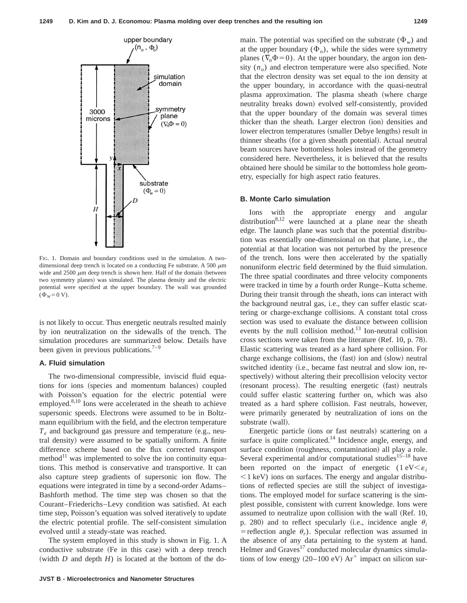

FIG. 1. Domain and boundary conditions used in the simulation. A twodimensional deep trench is located on a conducting Fe substrate. A 500  $\mu$ m wide and  $2500 \mu m$  deep trench is shown here. Half of the domain (between two symmetry planes) was simulated. The plasma density and the electric potential were specified at the upper boundary. The wall was grounded  $(\Phi_W = 0 \text{ V}).$ 

is not likely to occur. Thus energetic neutrals resulted mainly by ion neutralization on the sidewalls of the trench. The simulation procedures are summarized below. Details have been given in previous publications.<sup>7-9</sup>

## **A. Fluid simulation**

The two-dimensional compressible, inviscid fluid equations for ions (species and momentum balances) coupled with Poisson's equation for the electric potential were employed.<sup>8,10</sup> Ions were accelerated in the sheath to achieve supersonic speeds. Electrons were assumed to be in Boltzmann equilibrium with the field, and the electron temperature  $T_e$  and background gas pressure and temperature (e.g., neutral density) were assumed to be spatially uniform. A finite difference scheme based on the flux corrected transport method $^{11}$  was implemented to solve the ion continuity equations. This method is conservative and transportive. It can also capture steep gradients of supersonic ion flow. The equations were integrated in time by a second-order Adams– Bashforth method. The time step was chosen so that the Courant–Friederichs–Levy condition was satisfied. At each time step, Poisson's equation was solved iteratively to update the electric potential profile. The self-consistent simulation evolved until a steady-state was reached.

The system employed in this study is shown in Fig. 1. A conductive substrate (Fe in this case) with a deep trench (width  $D$  and depth  $H$ ) is located at the bottom of the do-

**JVST B - Microelectronics and Nanometer Structures**

main. The potential was specified on the substrate  $(\Phi_w)$  and at the upper boundary  $(\Phi_o)$ , while the sides were symmetry planes ( $\nabla_n \Phi = 0$ ). At the upper boundary, the argon ion density  $(n<sub>o</sub>)$  and electron temperature were also specified. Note that the electron density was set equal to the ion density at the upper boundary, in accordance with the quasi-neutral plasma approximation. The plasma sheath (where charge neutrality breaks down) evolved self-consistently, provided that the upper boundary of the domain was several times thicker than the sheath. Larger electron (ion) densities and lower electron temperatures (smaller Debye lengths) result in thinner sheaths (for a given sheath potential). Actual neutral beam sources have bottomless holes instead of the geometry considered here. Nevertheless, it is believed that the results obtained here should be similar to the bottomless hole geometry, especially for high aspect ratio features.

#### **B. Monte Carlo simulation**

Ions with the appropriate energy and angular distribution $8,12$  were launched at a plane near the sheath edge. The launch plane was such that the potential distribution was essentially one-dimensional on that plane, i.e., the potential at that location was not perturbed by the presence of the trench. Ions were then accelerated by the spatially nonuniform electric field determined by the fluid simulation. The three spatial coordinates and three velocity components were tracked in time by a fourth order Runge–Kutta scheme. During their transit through the sheath, ions can interact with the background neutral gas, i.e., they can suffer elastic scattering or charge-exchange collisions. A constant total cross section was used to evaluate the distance between collision events by the null collision method.<sup>13</sup> Ion-neutral collision cross sections were taken from the literature  $(Ref. 10, p. 78)$ . Elastic scattering was treated as a hard sphere collision. For charge exchange collisions, the (fast) ion and (slow) neutral switched identity (i.e., became fast neutral and slow ion, respectively) without altering their precollision velocity vector (resonant process). The resulting energetic (fast) neutrals could suffer elastic scattering further on, which was also treated as a hard sphere collision. Fast neutrals, however, were primarily generated by neutralization of ions on the substrate (wall).

Energetic particle (ions or fast neutrals) scattering on a surface is quite complicated.<sup>14</sup> Incidence angle, energy, and surface condition (roughness, contamination) all play a role. Several experimental and/or computational studies<sup>15–18</sup> have been reported on the impact of energetic  $(1 eV \le \varepsilon_i)$  $\leq$ 1 keV) ions on surfaces. The energy and angular distributions of reflected species are still the subject of investigations. The employed model for surface scattering is the simplest possible, consistent with current knowledge. Ions were assumed to neutralize upon collision with the wall (Ref. 10, p. 280) and to reflect specularly (i.e., incidence angle  $\theta_i$ = reflection angle  $\theta_r$ ). Specular reflection was assumed in the absence of any data pertaining to the system at hand. Helmer and Graves<sup>17</sup> conducted molecular dynamics simulations of low energy  $(20-100 \text{ eV})$  Ar<sup>+</sup> impact on silicon sur-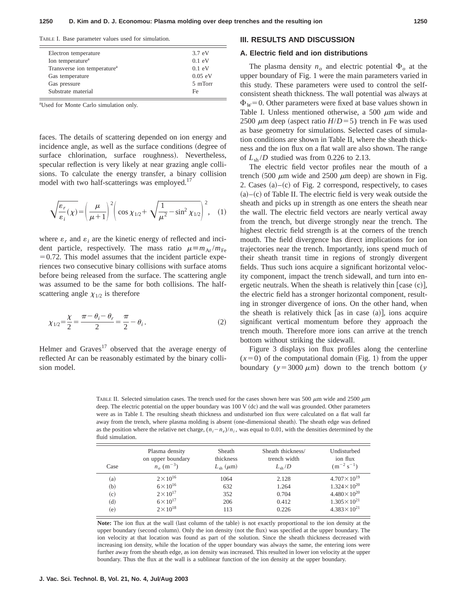TABLE I. Base parameter values used for simulation.

| Electron temperature                    | 3.7 eV   |
|-----------------------------------------|----------|
| Ion temperature <sup>a</sup>            | $0.1$ eV |
| Transverse ion temperature <sup>a</sup> | $0.1$ eV |
| Gas temperature                         | 0.05 eV  |
| Gas pressure                            | 5 mTorr  |
| Substrate material                      | Fe       |

a Used for Monte Carlo simulation only.

faces. The details of scattering depended on ion energy and incidence angle, as well as the surface conditions (degree of surface chlorination, surface roughness). Nevertheless, specular reflection is very likely at near grazing angle collisions. To calculate the energy transfer, a binary collision model with two half-scatterings was employed.<sup>17</sup>

$$
\sqrt{\frac{\varepsilon_r}{\varepsilon_i}(\chi)} = \left(\frac{\mu}{\mu+1}\right)^2 \left(\cos \chi_{1/2} + \sqrt{\frac{1}{\mu^2} - \sin^2 \chi_{1/2}}\right)^2, \quad (1)
$$

where  $\varepsilon_r$  and  $\varepsilon_i$  are the kinetic energy of reflected and incident particle, respectively. The mass ratio  $\mu \equiv m_{Ar} / m_{Fe}$  $=0.72$ . This model assumes that the incident particle experiences two consecutive binary collisions with surface atoms before being released from the surface. The scattering angle was assumed to be the same for both collisions. The halfscattering angle  $\chi_{1/2}$  is therefore

$$
\chi_{1/2} = \frac{\chi}{2} = \frac{\pi - \theta_i - \theta_r}{2} = \frac{\pi}{2} - \theta_i.
$$
 (2)

Helmer and  $Graves<sup>17</sup>$  observed that the average energy of reflected Ar can be reasonably estimated by the binary collision model.

#### **III. RESULTS AND DISCUSSION**

## **A. Electric field and ion distributions**

The plasma density  $n<sub>o</sub>$  and electric potential  $\Phi<sub>o</sub>$  at the upper boundary of Fig. 1 were the main parameters varied in this study. These parameters were used to control the selfconsistent sheath thickness. The wall potential was always at  $\Phi_W$ =0. Other parameters were fixed at base values shown in Table I. Unless mentioned otherwise, a 500  $\mu$ m wide and 2500  $\mu$ m deep (aspect ratio  $H/D = 5$ ) trench in Fe was used as base geometry for simulations. Selected cases of simulation conditions are shown in Table II, where the sheath thickness and the ion flux on a flat wall are also shown. The range of  $L_{\rm sh}/D$  studied was from 0.226 to 2.13.

The electric field vector profiles near the mouth of a trench (500  $\mu$ m wide and 2500  $\mu$ m deep) are shown in Fig. 2. Cases  $(a)$ – $(c)$  of Fig. 2 correspond, respectively, to cases  $(a)$ – $(c)$  of Table II. The electric field is very weak outside the sheath and picks up in strength as one enters the sheath near the wall. The electric field vectors are nearly vertical away from the trench, but diverge strongly near the trench. The highest electric field strength is at the corners of the trench mouth. The field divergence has direct implications for ion trajectories near the trench. Importantly, ions spend much of their sheath transit time in regions of strongly divergent fields. Thus such ions acquire a significant horizontal velocity component, impact the trench sidewall, and turn into energetic neutrals. When the sheath is relatively thin  $[case (c)],$ the electric field has a stronger horizontal component, resulting in stronger divergence of ions. On the other hand, when the sheath is relatively thick  $[as in case (a)],$  ions acquire significant vertical momentum before they approach the trench mouth. Therefore more ions can arrive at the trench bottom without striking the sidewall.

Figure 3 displays ion flux profiles along the centerline  $(x=0)$  of the computational domain (Fig. 1) from the upper boundary ( $y = 3000 \mu m$ ) down to the trench bottom (*y* 

TABLE II. Selected simulation cases. The trench used for the cases shown here was 500  $\mu$ m wide and 2500  $\mu$ m deep. The electric potential on the upper boundary was  $100 V$  (dc) and the wall was grounded. Other parameters were as in Table I. The resulting sheath thickness and undisturbed ion flux were calculated on a flat wall far away from the trench, where plasma molding is absent (one-dimensional sheath). The sheath edge was defined as the position where the relative net charge,  $(n_i - n_e)/n_i$ , was equal to 0.01, with the densities determined by the fluid simulation.

| Case | Plasma density<br>on upper boundary<br>$n_{o}$ (m <sup>-3</sup> ) | Sheath<br>thickness<br>$L_{\rm sh}$ ( $\mu$ m) | Sheath thickness/<br>trench width<br>$L_{\rm sh}/D$ | Undisturbed<br>ion flux<br>$(m^{-2} s^{-1})$ |
|------|-------------------------------------------------------------------|------------------------------------------------|-----------------------------------------------------|----------------------------------------------|
| (a)  | $2 \times 10^{16}$                                                | 1064                                           | 2.128                                               | $4.707 \times 10^{19}$                       |
| (b)  | $6 \times 10^{16}$                                                | 632                                            | 1.264                                               | $1.324 \times 10^{20}$                       |
| (c)  | $2 \times 10^{17}$                                                | 352                                            | 0.704                                               | $4.480 \times 10^{20}$                       |
| (d)  | $6 \times 10^{17}$                                                | 206                                            | 0.412                                               | $1.305 \times 10^{21}$                       |
| (e)  | $2 \times 10^{18}$                                                | 113                                            | 0.226                                               | $4.383 \times 10^{21}$                       |

Note: The ion flux at the wall (last column of the table) is not exactly proportional to the ion density at the upper boundary (second column). Only the ion density (not the flux) was specified at the upper boundary. The ion velocity at that location was found as part of the solution. Since the sheath thickness decreased with increasing ion density, while the location of the upper boundary was always the same, the entering ions were further away from the sheath edge, as ion density was increased. This resulted in lower ion velocity at the upper boundary. Thus the flux at the wall is a sublinear function of the ion density at the upper boundary.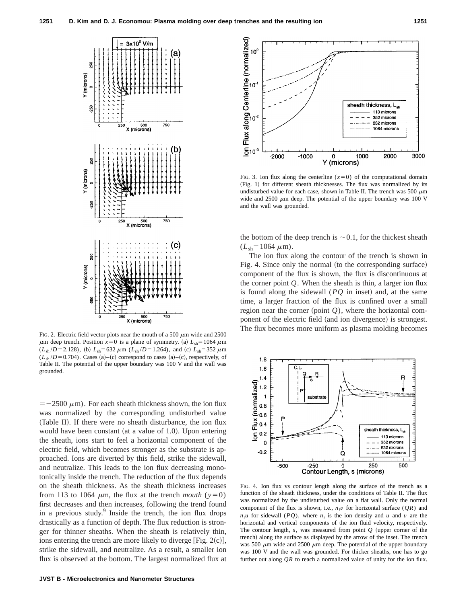

 $\mu$ m deep trench. Position  $x=0$  is a plane of symmetry. (a)  $L_{sh} = 1064 \mu$ m  $(L_{sh}/D=2.128)$ , (b)  $L_{sh}=632 \ \mu \text{m}$   $(L_{sh}/D=1.264)$ , and (c)  $L_{sh}=352 \ \mu \text{m}$  $(L_{sh}/D=0.704)$ . Cases (a)–(c) correspond to cases (a)–(c), respectively, of Table II. The potential of the upper boundary was 100 V and the wall was grounded.

 $=$  -2500  $\mu$ m). For each sheath thickness shown, the ion flux was normalized by the corresponding undisturbed value (Table II). If there were no sheath disturbance, the ion flux would have been constant (at a value of 1.0). Upon entering the sheath, ions start to feel a horizontal component of the electric field, which becomes stronger as the substrate is approached. Ions are diverted by this field, strike the sidewall, and neutralize. This leads to the ion flux decreasing monotonically inside the trench. The reduction of the flux depends on the sheath thickness. As the sheath thickness increases from 113 to 1064  $\mu$ m, the flux at the trench *mouth* ( $y=0$ ) first decreases and then increases, following the trend found in a previous study. $9$  Inside the trench, the ion flux drops drastically as a function of depth. The flux reduction is stronger for thinner sheaths. When the sheath is relatively thin, ions entering the trench are more likely to diverge [Fig.  $2(c)$ ], strike the sidewall, and neutralize. As a result, a smaller ion flux is observed at the bottom. The largest normalized flux at



FIG. 3. Ion flux along the centerline  $(x=0)$  of the computational domain (Fig. 1) for different sheath thicknesses. The flux was normalized by its undisturbed value for each case, shown in Table II. The trench was 500  $\mu$ m wide and 2500  $\mu$ m deep. The potential of the upper boundary was 100 V and the wall was grounded.

the bottom of the deep trench is  $\sim 0.1$ , for the thickest sheath  $(L_{\rm sh}=1064 \ \mu \rm{m}).$ 

The ion flux along the contour of the trench is shown in Fig. 4. Since only the normal (to the corresponding surface) component of the flux is shown, the flux is discontinuous at the corner point *Q*. When the sheath is thin, a larger ion flux is found along the sidewall  $(PQ)$  in inset) and, at the same time, a larger fraction of the flux is confined over a small region near the corner (point  $Q$ ), where the horizontal component of the electric field (and ion divergence) is strongest. FIG. 2. Electric field vector plots near the mouth of a 500  $\mu$ m wide and 2500<br>FIG. 2. Electric field vector plots near the mouth of a 500  $\mu$ m wide and 2500



FIG. 4. Ion flux vs contour length along the surface of the trench as a function of the sheath thickness, under the conditions of Table II. The flux was normalized by the undisturbed value on a flat wall. Only the normal component of the flux is shown, i.e.,  $n_i v$  for horizontal surface  $(QR)$  and  $n_i u$  for sidewall (*PQ*), where  $n_i$  is the ion density and *u* and *v* are the horizontal and vertical components of the ion fluid velocity, respectively. The contour length,  $s$ , was measured from point  $Q$  (upper corner of the trench) along the surface as displayed by the arrow of the inset. The trench was 500  $\mu$ m wide and 2500  $\mu$ m deep. The potential of the upper boundary was 100 V and the wall was grounded. For thicker sheaths, one has to go further out along *QR* to reach a normalized value of unity for the ion flux.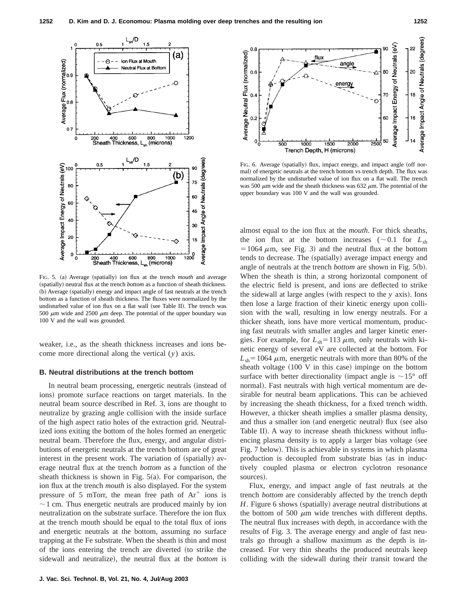

FIG. 5. (a) Average (spatially) ion flux at the trench *mouth* and average (spatially) neutral flux at the trench *bottom* as a function of sheath thickness. (b) Average (spatially) energy and impact angle of fast neutrals at the trench bottom as a function of sheath thickness. The fluxes were normalized by the undisturbed value of ion flux on a flat wall (see Table II). The trench was 500  $\mu$ m wide and 2500  $\mu$ m deep. The potential of the upper boundary was 100 V and the wall was grounded.

weaker, i.e., as the sheath thickness increases and ions become more directional along the vertical (*y*) axis.

#### **B. Neutral distributions at the trench bottom**

In neutral beam processing, energetic neutrals (instead of ions) promote surface reactions on target materials. In the neutral beam source described in Ref. 3, ions are thought to neutralize by grazing angle collision with the inside surface of the high aspect ratio holes of the extraction grid. Neutralized ions exiting the bottom of the holes formed an energetic neutral beam. Therefore the flux, energy, and angular distributions of energetic neutrals at the trench bottom are of great interest in the present work. The variation of (spatially) average neutral flux at the trench *bottom* as a function of the sheath thickness is shown in Fig.  $5(a)$ . For comparison, the ion flux at the trench *mouth* is also displayed. For the system pressure of 5 mTorr, the mean free path of  $Ar^+$  ions is  $\sim$  1 cm. Thus energetic neutrals are produced mainly by ion neutralization on the substrate surface. Therefore the ion flux at the trench mouth should be equal to the total flux of ions and energetic neutrals at the bottom, assuming no surface trapping at the Fe substrate. When the sheath is thin and most of the ions entering the trench are diverted (to strike the sidewall and neutralize), the neutral flux at the *bottom* is



FIG. 6. Average (spatially) flux, impact energy, and impact angle (off normal) of energetic neutrals at the trench bottom vs trench depth. The flux was normalized by the undisturbed value of ion flux on a flat wall. The trench was 500  $\mu$ m wide and the sheath thickness was 632  $\mu$ m. The potential of the upper boundary was 100 V and the wall was grounded.

almost equal to the ion flux at the *mouth*. For thick sheaths, the ion flux at the bottom increases ( $\sim$ 0.1 for  $L_{\rm sh}$ )  $=1064 \mu m$ , see Fig. 3) and the neutral flux at the bottom tends to decrease. The (spatially) average impact energy and angle of neutrals at the trench *bottom* are shown in Fig. 5(b). When the sheath is thin, a strong horizontal component of the electric field is present, and ions are deflected to strike the sidewall at large angles (with respect to the  $y$  axis). Ions then lose a large fraction of their kinetic energy upon collision with the wall, resulting in low energy neutrals. For a thicker sheath, ions have more vertical momentum, producing fast neutrals with smaller angles and larger kinetic energies. For example, for  $L_{\rm sh}$ =113  $\mu$ m, only neutrals with kinetic energy of several eV are collected at the bottom. For  $L_{sh}$ =1064  $\mu$ m, energetic neutrals with more than 80% of the sheath voltage  $(100 \text{ V}$  in this case) impinge on the bottom surface with better directionality (impact angle is  $\sim 15^{\circ}$  off normal). Fast neutrals with high vertical momentum are desirable for neutral beam applications. This can be achieved by increasing the sheath thickness, for a fixed trench width. However, a thicker sheath implies a smaller plasma density, and thus a smaller ion (and energetic neutral) flux (see also Table II). A way to increase sheath thickness without influencing plasma density is to apply a larger bias voltage (see Fig. 7 below). This is achievable in systems in which plasma production is decoupled from substrate bias (as in inductively coupled plasma or electron cyclotron resonance sources).

Flux, energy, and impact angle of fast neutrals at the trench *bottom* are considerably affected by the trench depth *H*. Figure 6 shows (spatially) average neutral distributions at the bottom of 500  $\mu$ m wide trenches with different depths. The neutral flux increases with depth, in accordance with the results of Fig. 3. The average energy and angle of fast neutrals go through a shallow maximum as the depth is increased. For very thin sheaths the produced neutrals keep colliding with the sidewall during their transit toward the